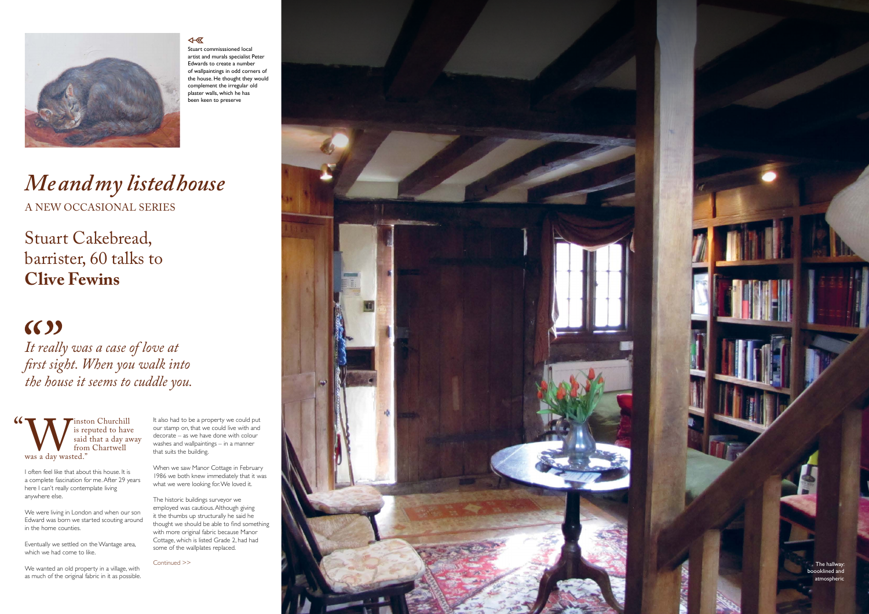

### 4- 区

# *Me and my listed house* A NEW OCCASIONAL SERIES

Stuart Cakebread, barrister, 60 talks to **Clive Fewins**

# $(6)$

I often feel like that about this house. It is a complete fascination for me. After 29 years here I can't really contemplate living anywhere else.

We were living in London and when our son Edward was born we started scouting around in the home counties.

When we saw Manor Cottage in February 1986 we both knew immediately that it was what we were looking for. We loved it.

Eventually we settled on the Wantage area, which we had come to like.

We wanted an old property in a village, with as much of the original fabric in it as possible.

*It really was a case of love at first sight. When you walk into the house it seems to cuddle you.*

We is reputed to have<br>said that a day av<br>from Chartwell<br>was a day wasted." is reputed to have said that a day away from Chartwell was a day wasted." "

It also had to be a property we could put our stamp on, that we could live with and decorate – as we have done with colour washes and wallpaintings – in a manner that suits the building.

The historic buildings surveyor we employed was cautious. Although giving it the thumbs up structurally he said he thought we should be able to find something with more original fabric because Manor Cottage, which is listed Grade 2, had had some of the wallplates replaced.



boooklined and atmospheric

Stuart commisssioned local artist and murals specialist Peter Edwards to create a number of wallpaintings in odd corners of the house. He thought they would complement the irregular old plaster walls, which he has been keen to preserve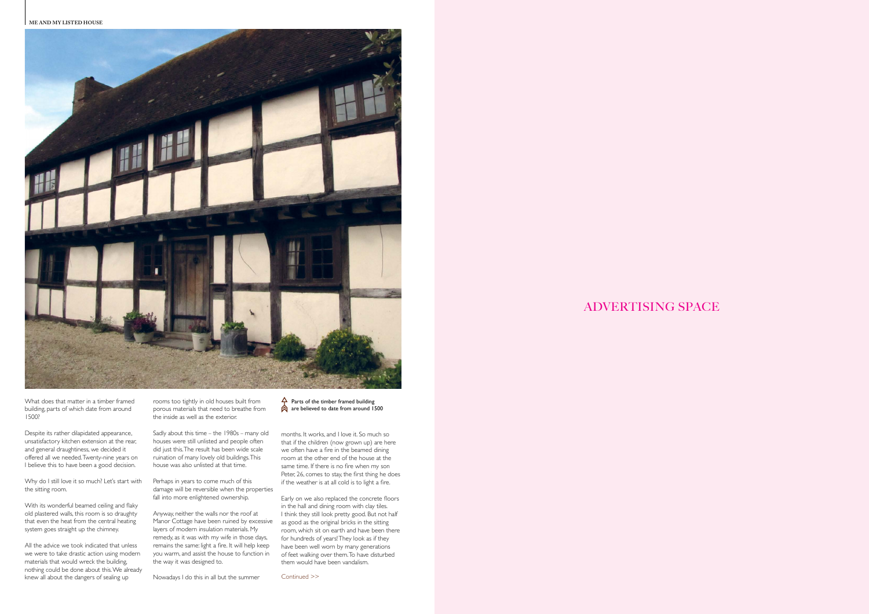**ME AND MY LISTED HOUSE**



## ADVERTISING SPACE

What does that matter in a timber framed building, parts of which date from around 1500?

Why do I still love it so much? Let's start with the sitting room.

Despite its rather dilapidated appearance, unsatisfactory kitchen extension at the rear, and general draughtiness, we decided it offered all we needed. Twenty-nine years on I believe this to have been a good decision.

With its wonderful beamed ceiling and flaky old plastered walls, this room is so draughty that even the heat from the central heating system goes straight up the chimney.

All the advice we took indicated that unless we were to take drastic action using modern materials that would wreck the building, nothing could be done about this. We already knew all about the dangers of sealing up

rooms too tightly in old houses built from porous materials that need to breathe from the inside as well as the exterior.

Sadly about this time – the 1980s – many old houses were still unlisted and people often did just this. The result has been wide scale ruination of many lovely old buildings. This house was also unlisted at that time.

Perhaps in years to come much of this damage will be reversible when the properties fall into more enlightened ownership.

Anyway, neither the walls nor the roof at Manor Cottage have been ruined by excessive layers of modern insulation materials. My remedy, as it was with my wife in those days, remains the same: light a fire. It will help keep you warm, and assist the house to function in the way it was designed to.

Nowadays I do this in all but the summer

 $\triangle$  Parts of the timber framed building are believed to date from around 1500

months. It works, and I love it. So much so that if the children (now grown up) are here we often have a fire in the beamed dining room at the other end of the house at the same time. If there is no fire when my son Peter, 26, comes to stay, the first thing he does if the weather is at all cold is to light a fire.

Early on we also replaced the concrete floors in the hall and dining room with clay tiles. I think they still look pretty good. But not half as good as the original bricks in the sitting room, which sit on earth and have been there for hundreds of years! They look as if they have been well worn by many generations of feet walking over them. To have disturbed them would have been vandalism.

Continued >>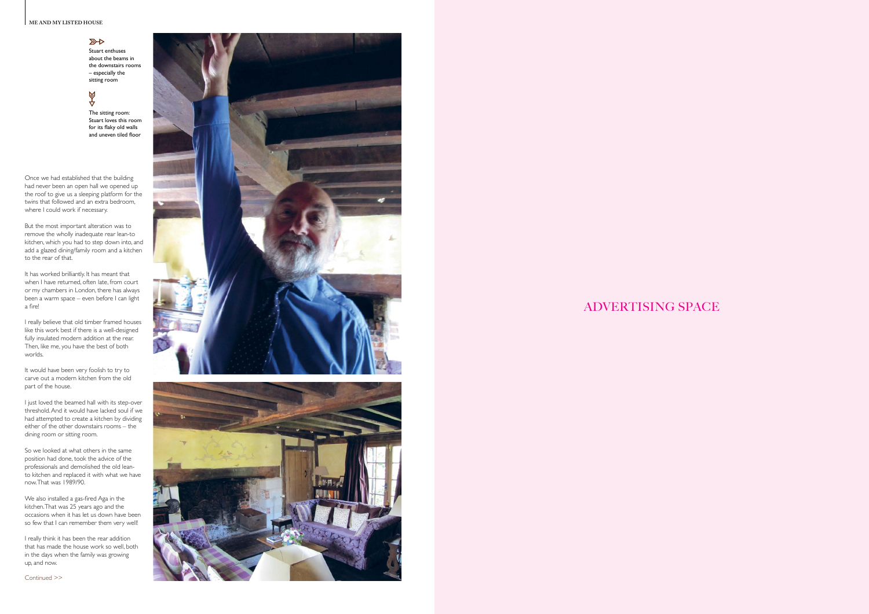### **ME AND MY LISTED HOUSE A HYMN TO THE ARTS & CRAFTS MOVEMENT**

### $\overline{\mathbb{R}}$

## ADVERTISING SPACE

Once we had established that the building had never been an open hall we opened up the roof to give us a sleeping platform for the twins that followed and an extra bedroom, where I could work if necessary.

But the most important alteration was to remove the wholly inadequate rear lean-to kitchen, which you had to step down into, and add a glazed dining/family room and a kitchen to the rear of that.

It would have been very foolish to try to carve out a modern kitchen from the old part of the house.

It has worked brilliantly. It has meant that when I have returned, often late, from court or my chambers in London, there has always been a warm space – even before I can light a fire!

I really believe that old timber framed houses like this work best if there is a well-designed fully insulated modern addition at the rear. Then, like me, you have the best of both worlds.

I just loved the beamed hall with its step-over threshold. And it would have lacked soul if we had attempted to create a kitchen by dividing either of the other downstairs rooms – the dining room or sitting room.

So we looked at what others in the same position had done, took the advice of the professionals and demolished the old leanto kitchen and replaced it with what we have now. That was 1989/90.

We also installed a gas-fired Aga in the kitchen. That was 25 years ago and the occasions when it has let us down have been so few that I can remember them very well!

I really think it has been the rear addition that has made the house work so well, both in the days when the family was growing up, and now.



Stuart enthuses about the beams in the downstairs rooms – especially the sitting room

## 4⊗

The sitting room: Stuart loves this room for its flaky old walls and uneven tiled floor